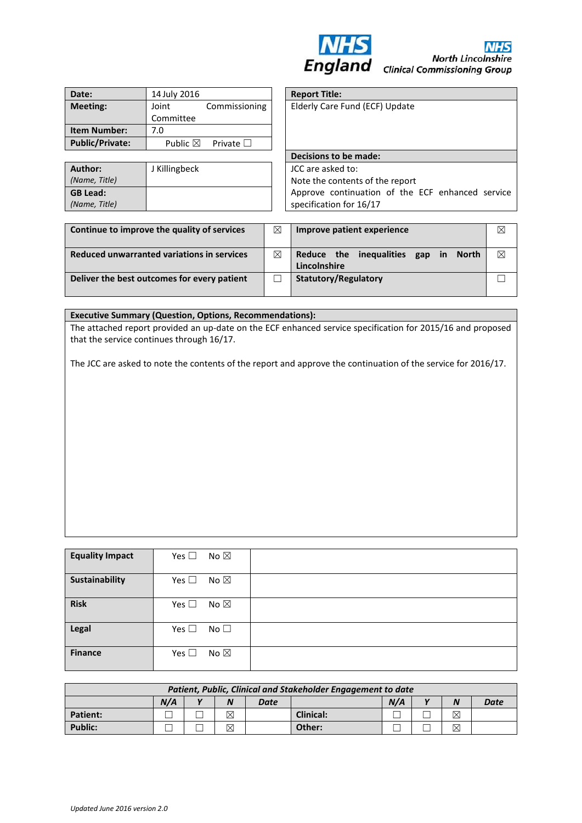

| Date:                  | 14 July 2016       |                   |
|------------------------|--------------------|-------------------|
| <b>Meeting:</b>        | Joint              | Commissioning     |
|                        | Committee          |                   |
| <b>Item Number:</b>    | 7.0                |                   |
| <b>Public/Private:</b> | Public $\boxtimes$ | Private $\square$ |

| Author:         | J Killingbeck | JCC are asked to: |
|-----------------|---------------|-------------------|
| (Name, Title)   |               | Note the content  |
| <b>GB Lead:</b> |               | Approve continu   |
| (Name, Title)   |               | specification for |

| <b>Report Title:</b> |                                                  |  |
|----------------------|--------------------------------------------------|--|
|                      | Elderly Care Fund (ECF) Update                   |  |
|                      |                                                  |  |
|                      |                                                  |  |
|                      |                                                  |  |
|                      | Decisions to be made:                            |  |
| JCC are asked to:    |                                                  |  |
|                      | Note the contents of the report                  |  |
|                      |                                                  |  |
|                      | Approve continuation of the ECF enhanced service |  |

| Continue to improve the quality of services | ⊠ | Improve patient experience                                           |   |  |  |
|---------------------------------------------|---|----------------------------------------------------------------------|---|--|--|
| Reduced unwarranted variations in services  | ⊠ | Reduce the inequalities<br>in<br><b>North</b><br>gap<br>Lincolnshire | ⊠ |  |  |
| Deliver the best outcomes for every patient |   | <b>Statutory/Regulatory</b>                                          |   |  |  |

#### **Executive Summary (Question, Options, Recommendations):**

The attached report provided an up-date on the ECF enhanced service specification for 2015/16 and proposed that the service continues through 16/17.

The JCC are asked to note the contents of the report and approve the continuation of the service for 2016/17.

| <b>Equality Impact</b> | Yes $\square$<br>No $\boxtimes$ |  |
|------------------------|---------------------------------|--|
| Sustainability         | Yes $\square$<br>No $\boxtimes$ |  |
| <b>Risk</b>            | Yes $\square$<br>No $\boxtimes$ |  |
| Legal                  | Yes $\square$<br>No $\square$   |  |
| <b>Finance</b>         | Yes $\square$<br>No $\boxtimes$ |  |

| Patient, Public, Clinical and Stakeholder Engagement to date |     |              |   |      |           |     |  |   |      |
|--------------------------------------------------------------|-----|--------------|---|------|-----------|-----|--|---|------|
|                                                              | N/A | $\mathbf{v}$ | N | Date |           | N/A |  |   | Date |
| <b>Patient:</b>                                              |     |              | ⊠ |      | Clinical: |     |  | ⊠ |      |
| Public:                                                      |     |              | ⊠ |      | Other:    |     |  | ⊠ |      |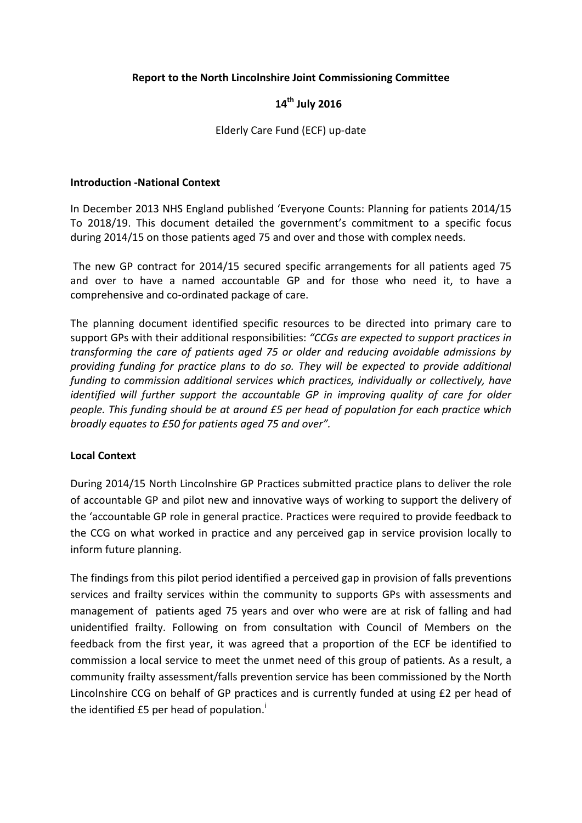### **Report to the North Lincolnshire Joint Commissioning Committee**

# **14th July 2016**

#### Elderly Care Fund (ECF) up-date

#### **Introduction -National Context**

In December 2013 NHS England published 'Everyone Counts: Planning for patients 2014/15 To 2018/19. This document detailed the government's commitment to a specific focus during 2014/15 on those patients aged 75 and over and those with complex needs.

The new GP contract for 2014/15 secured specific arrangements for all patients aged 75 and over to have a named accountable GP and for those who need it, to have a comprehensive and co-ordinated package of care.

The planning document identified specific resources to be directed into primary care to support GPs with their additional responsibilities: *"CCGs are expected to support practices in transforming the care of patients aged 75 or older and reducing avoidable admissions by providing funding for practice plans to do so. They will be expected to provide additional funding to commission additional services which practices, individually or collectively, have identified will further support the accountable GP in improving quality of care for older people. This funding should be at around £5 per head of population for each practice which broadly equates to £50 for patients aged 75 and over".*

#### **Local Context**

During 2014/15 North Lincolnshire GP Practices submitted practice plans to deliver the role of accountable GP and pilot new and innovative ways of working to support the delivery of the 'accountable GP role in general practice. Practices were required to provide feedback to the CCG on what worked in practice and any perceived gap in service provision locally to inform future planning.

The findings from this pilot period identified a perceived gap in provision of falls preventions services and frailty services within the community to supports GPs with assessments and management of patients aged 75 years and over who were are at risk of falling and had unidentified frailty. Following on from consultation with Council of Members on the feedback from the first year, it was agreed that a proportion of the ECF be identified to commission a local service to meet the unmet need of this group of patients. As a result, a community frailty assessment/falls prevention service has been commissioned by the North Lincolnshire CCG on behalf of GP practices and is currently funded at using £2 per head of the [i](#page-5-0)dentified  $E5$  per head of population.<sup>1</sup>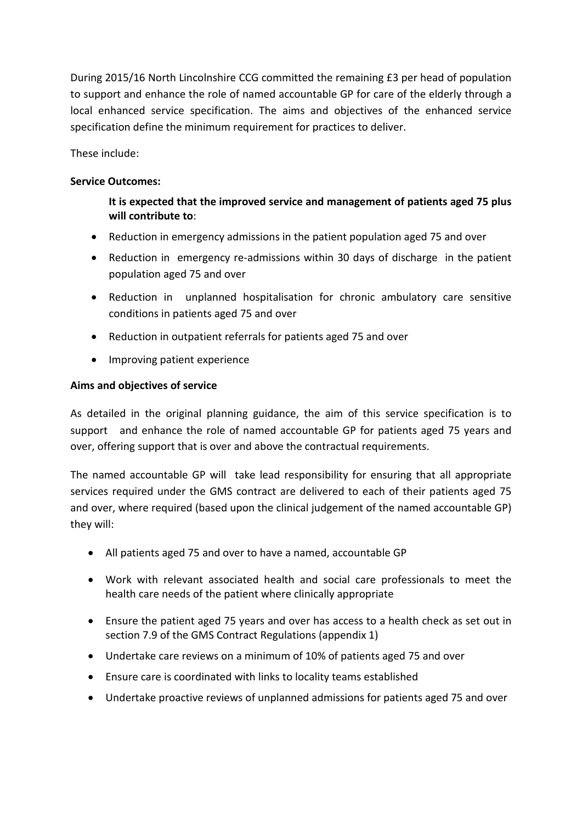During 2015/16 North Lincolnshire CCG committed the remaining £3 per head of population to support and enhance the role of named accountable GP for care of the elderly through a local enhanced service specification. The aims and objectives of the enhanced service specification define the minimum requirement for practices to deliver.

These include:

# **Service Outcomes:**

# **It is expected that the improved service and management of patients aged 75 plus will contribute to**:

- Reduction in emergency admissions in the patient population aged 75 and over
- Reduction in emergency re-admissions within 30 days of discharge in the patient population aged 75 and over
- Reduction in unplanned hospitalisation for chronic ambulatory care sensitive conditions in patients aged 75 and over
- Reduction in outpatient referrals for patients aged 75 and over
- Improving patient experience

#### **Aims and objectives of service**

As detailed in the original planning guidance, the aim of this service specification is to support and enhance the role of named accountable GP for patients aged 75 years and over, offering support that is over and above the contractual requirements.

The named accountable GP will take lead responsibility for ensuring that all appropriate services required under the GMS contract are delivered to each of their patients aged 75 and over, where required (based upon the clinical judgement of the named accountable GP) they will:

- All patients aged 75 and over to have a named, accountable GP
- Work with relevant associated health and social care professionals to meet the health care needs of the patient where clinically appropriate
- Ensure the patient aged 75 years and over has access to a health check as set out in section 7.9 of the GMS Contract Regulations (appendix 1)
- Undertake care reviews on a minimum of 10% of patients aged 75 and over
- Ensure care is coordinated with links to locality teams established
- Undertake proactive reviews of unplanned admissions for patients aged 75 and over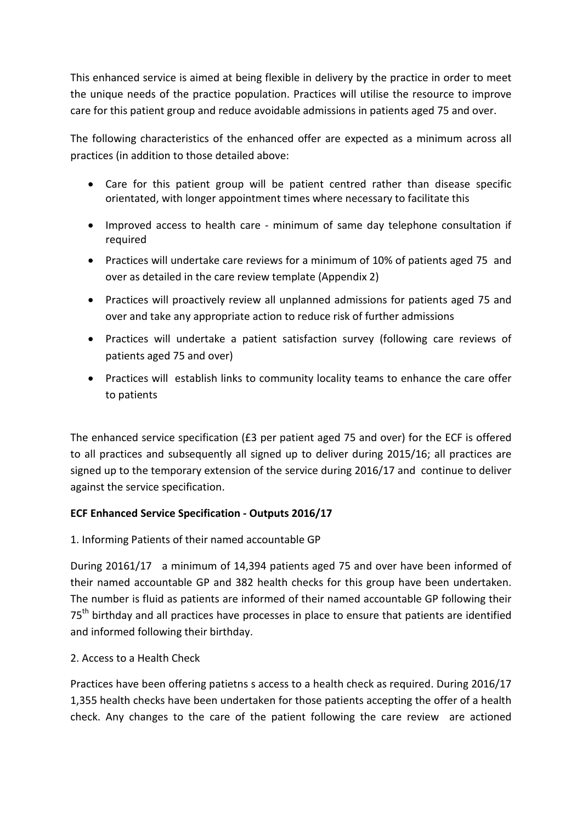This enhanced service is aimed at being flexible in delivery by the practice in order to meet the unique needs of the practice population. Practices will utilise the resource to improve care for this patient group and reduce avoidable admissions in patients aged 75 and over.

The following characteristics of the enhanced offer are expected as a minimum across all practices (in addition to those detailed above:

- Care for this patient group will be patient centred rather than disease specific orientated, with longer appointment times where necessary to facilitate this
- Improved access to health care minimum of same day telephone consultation if required
- Practices will undertake care reviews for a minimum of 10% of patients aged 75 and over as detailed in the care review template (Appendix 2)
- Practices will proactively review all unplanned admissions for patients aged 75 and over and take any appropriate action to reduce risk of further admissions
- Practices will undertake a patient satisfaction survey (following care reviews of patients aged 75 and over)
- Practices will establish links to community locality teams to enhance the care offer to patients

The enhanced service specification (£3 per patient aged 75 and over) for the ECF is offered to all practices and subsequently all signed up to deliver during 2015/16; all practices are signed up to the temporary extension of the service during 2016/17 and continue to deliver against the service specification.

# **ECF Enhanced Service Specification - Outputs 2016/17**

# 1. Informing Patients of their named accountable GP

During 20161/17 a minimum of 14,394 patients aged 75 and over have been informed of their named accountable GP and 382 health checks for this group have been undertaken. The number is fluid as patients are informed of their named accountable GP following their 75<sup>th</sup> birthday and all practices have processes in place to ensure that patients are identified and informed following their birthday.

# 2. Access to a Health Check

Practices have been offering patietns s access to a health check as required. During 2016/17 1,355 health checks have been undertaken for those patients accepting the offer of a health check. Any changes to the care of the patient following the care review are actioned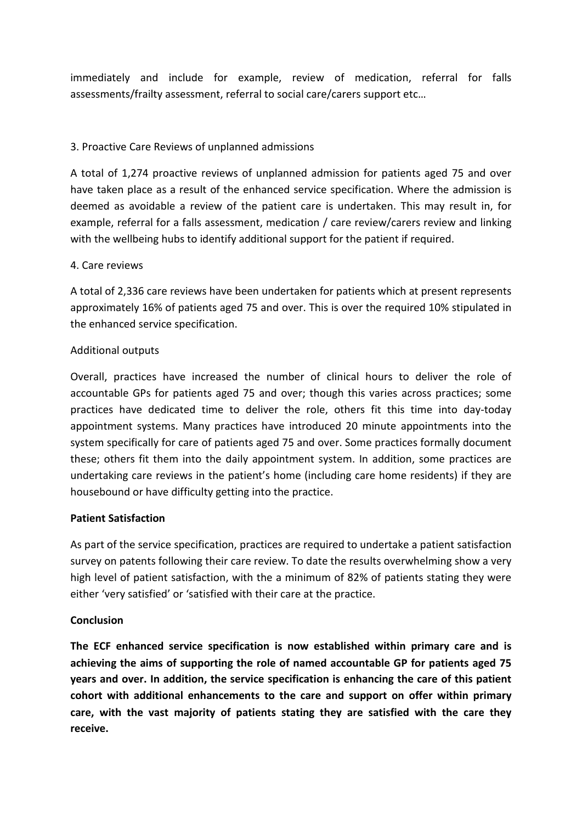immediately and include for example, review of medication, referral for falls assessments/frailty assessment, referral to social care/carers support etc…

# 3. Proactive Care Reviews of unplanned admissions

A total of 1,274 proactive reviews of unplanned admission for patients aged 75 and over have taken place as a result of the enhanced service specification. Where the admission is deemed as avoidable a review of the patient care is undertaken. This may result in, for example, referral for a falls assessment, medication / care review/carers review and linking with the wellbeing hubs to identify additional support for the patient if required.

# 4. Care reviews

A total of 2,336 care reviews have been undertaken for patients which at present represents approximately 16% of patients aged 75 and over. This is over the required 10% stipulated in the enhanced service specification.

#### Additional outputs

Overall, practices have increased the number of clinical hours to deliver the role of accountable GPs for patients aged 75 and over; though this varies across practices; some practices have dedicated time to deliver the role, others fit this time into day-today appointment systems. Many practices have introduced 20 minute appointments into the system specifically for care of patients aged 75 and over. Some practices formally document these; others fit them into the daily appointment system. In addition, some practices are undertaking care reviews in the patient's home (including care home residents) if they are housebound or have difficulty getting into the practice.

# **Patient Satisfaction**

As part of the service specification, practices are required to undertake a patient satisfaction survey on patents following their care review. To date the results overwhelming show a very high level of patient satisfaction, with the a minimum of 82% of patients stating they were either 'very satisfied' or 'satisfied with their care at the practice.

# **Conclusion**

**The ECF enhanced service specification is now established within primary care and is achieving the aims of supporting the role of named accountable GP for patients aged 75 years and over. In addition, the service specification is enhancing the care of this patient cohort with additional enhancements to the care and support on offer within primary care, with the vast majority of patients stating they are satisfied with the care they receive.**